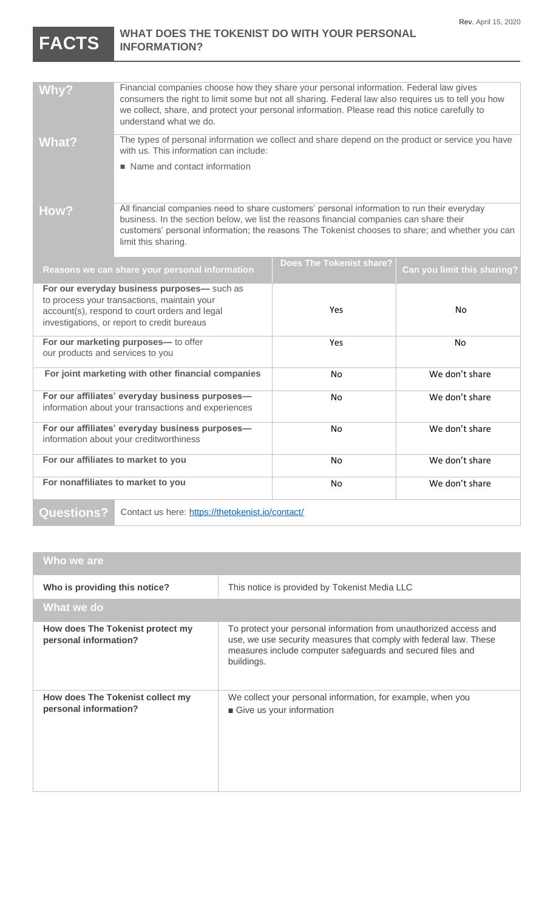## **FACTS WHAT DOES THE TOKENIST DO WITH YOUR PERSONAL INFORMATION?**

| <b>Why?</b>                                                                                            | Financial companies choose how they share your personal information. Federal law gives<br>consumers the right to limit some but not all sharing. Federal law also requires us to tell you how<br>we collect, share, and protect your personal information. Please read this notice carefully to<br>understand what we do. |                                 |                             |
|--------------------------------------------------------------------------------------------------------|---------------------------------------------------------------------------------------------------------------------------------------------------------------------------------------------------------------------------------------------------------------------------------------------------------------------------|---------------------------------|-----------------------------|
| What?                                                                                                  | The types of personal information we collect and share depend on the product or service you have<br>with us. This information can include:                                                                                                                                                                                |                                 |                             |
|                                                                                                        | Name and contact information                                                                                                                                                                                                                                                                                              |                                 |                             |
| How?                                                                                                   | All financial companies need to share customers' personal information to run their everyday<br>business. In the section below, we list the reasons financial companies can share their<br>customers' personal information; the reasons The Tokenist chooses to share; and whether you can<br>limit this sharing.          |                                 |                             |
| Reasons we can share your personal information                                                         |                                                                                                                                                                                                                                                                                                                           | <b>Does The Tokenist share?</b> | Can you limit this sharing? |
| For our everyday business purposes- such as                                                            |                                                                                                                                                                                                                                                                                                                           |                                 |                             |
| to process your transactions, maintain your                                                            |                                                                                                                                                                                                                                                                                                                           | Yes                             | No                          |
| account(s), respond to court orders and legal<br>investigations, or report to credit bureaus           |                                                                                                                                                                                                                                                                                                                           |                                 |                             |
| For our marketing purposes- to offer                                                                   |                                                                                                                                                                                                                                                                                                                           | Yes                             | No                          |
| our products and services to you                                                                       |                                                                                                                                                                                                                                                                                                                           |                                 |                             |
| For joint marketing with other financial companies                                                     |                                                                                                                                                                                                                                                                                                                           | No                              | We don't share              |
| For our affiliates' everyday business purposes-<br>information about your transactions and experiences |                                                                                                                                                                                                                                                                                                                           | No                              | We don't share              |
| For our affiliates' everyday business purposes-                                                        |                                                                                                                                                                                                                                                                                                                           | No                              | We don't share              |
| information about your creditworthiness                                                                |                                                                                                                                                                                                                                                                                                                           |                                 |                             |
| For our affiliates to market to you                                                                    |                                                                                                                                                                                                                                                                                                                           | No                              | We don't share              |
| For nonaffiliates to market to you                                                                     |                                                                                                                                                                                                                                                                                                                           | No                              | We don't share              |

**Questions?** Contact us here:<https://thetokenist.io/contact/>

## **Who we are**

| Who is providing this notice?                             | This notice is provided by Tokenist Media LLC                                                                                                                                                                      |
|-----------------------------------------------------------|--------------------------------------------------------------------------------------------------------------------------------------------------------------------------------------------------------------------|
| What we do                                                |                                                                                                                                                                                                                    |
| How does The Tokenist protect my<br>personal information? | To protect your personal information from unauthorized access and<br>use, we use security measures that comply with federal law. These<br>measures include computer safeguards and secured files and<br>buildings. |
| How does The Tokenist collect my<br>personal information? | We collect your personal information, for example, when you<br>Give us your information                                                                                                                            |